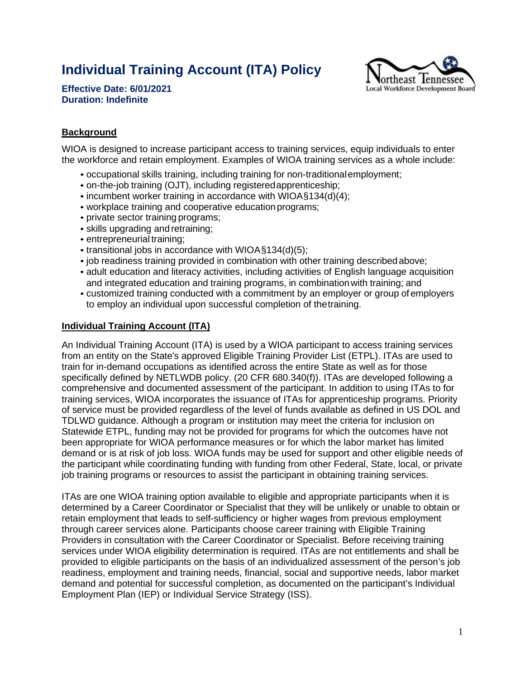# **Individual Training Account (ITA) Policy**



**Effective Date: 6/01/2021 Duration: Indefinite**

## **Background**

WIOA is designed to increase participant access to training services, equip individuals to enter the workforce and retain employment. Examples of WIOA training services as a whole include:

- occupational skills training, including training for non-traditionalemployment;
- on-the-job training (OJT), including registered apprenticeship;
- incumbent worker training in accordance with WIOA§134(d)(4);
- workplace training and cooperative educationprograms;
- private sector training programs;
- skills upgrading and retraining;
- entrepreneurial training;
- transitional jobs in accordance with WIOA§134(d)(5);
- job readiness training provided in combination with other training described above;
- adult education and literacy activities, including activities of English language acquisition and integrated education and training programs, in combinationwith training; and
- customized training conducted with a commitment by an employer or group of employers to employ an individual upon successful completion of thetraining.

## **Individual Training Account (ITA)**

An Individual Training Account (ITA) is used by a WIOA participant to access training services from an entity on the State's approved Eligible Training Provider List (ETPL). ITAs are used to train for in-demand occupations as identified across the entire State as well as for those specifically defined by NETLWDB policy. (20 CFR 680.340(f)). ITAs are developed following a comprehensive and documented assessment of the participant. In addition to using ITAs to for training services, WIOA incorporates the issuance of ITAs for apprenticeship programs. Priority of service must be provided regardless of the level of funds available as defined in US DOL and TDLWD guidance. Although a program or institution may meet the criteria for inclusion on Statewide ETPL, funding may not be provided for programs for which the outcomes have not been appropriate for WIOA performance measures or for which the labor market has limited demand or is at risk of job loss. WIOA funds may be used for support and other eligible needs of the participant while coordinating funding with funding from other Federal, State, local, or private job training programs or resources to assist the participant in obtaining training services.

ITAs are one WIOA training option available to eligible and appropriate participants when it is determined by a Career Coordinator or Specialist that they will be unlikely or unable to obtain or retain employment that leads to self-sufficiency or higher wages from previous employment through career services alone. Participants choose career training with Eligible Training Providers in consultation with the Career Coordinator or Specialist. Before receiving training services under WIOA eligibility determination is required. ITAs are not entitlements and shall be provided to eligible participants on the basis of an individualized assessment of the person's job readiness, employment and training needs, financial, social and supportive needs, labor market demand and potential for successful completion, as documented on the participant's Individual Employment Plan (IEP) or Individual Service Strategy (ISS).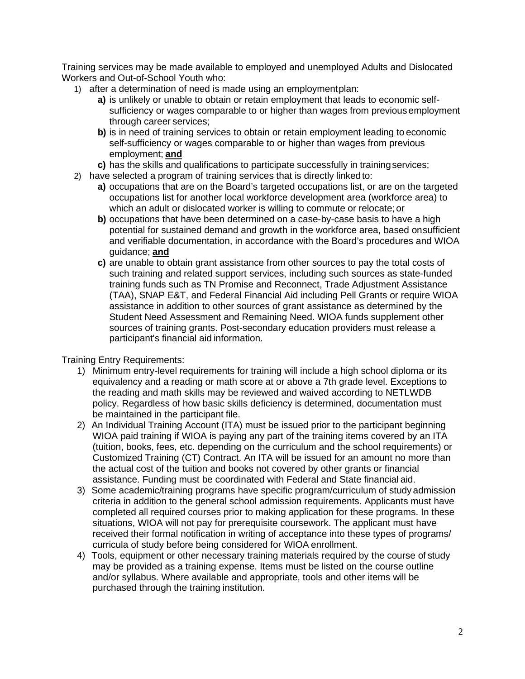Training services may be made available to employed and unemployed Adults and Dislocated Workers and Out-of-School Youth who:

- 1) after a determination of need is made using an employmentplan:
	- **a)** is unlikely or unable to obtain or retain employment that leads to economic selfsufficiency or wages comparable to or higher than wages from previous employment through career services;
	- **b)** is in need of training services to obtain or retain employment leading to economic self-sufficiency or wages comparable to or higher than wages from previous employment; **and**
	- **c)** has the skills and qualifications to participate successfully in trainingservices;
- 2) have selected a program of training services that is directly linkedto:
	- **a)** occupations that are on the Board's targeted occupations list, or are on the targeted occupations list for another local workforce development area (workforce area) to which an adult or dislocated worker is willing to commute or relocate; or
	- **b)** occupations that have been determined on a case-by-case basis to have a high potential for sustained demand and growth in the workforce area, based onsufficient and verifiable documentation, in accordance with the Board's procedures and WIOA guidance; **and**
	- **c)** are unable to obtain grant assistance from other sources to pay the total costs of such training and related support services, including such sources as state-funded training funds such as TN Promise and Reconnect, Trade Adjustment Assistance (TAA), SNAP E&T, and Federal Financial Aid including Pell Grants or require WIOA assistance in addition to other sources of grant assistance as determined by the Student Need Assessment and Remaining Need. WIOA funds supplement other sources of training grants. Post-secondary education providers must release a participant's financial aid information.

Training Entry Requirements:

- 1) Minimum entry-level requirements for training will include a high school diploma or its equivalency and a reading or math score at or above a 7th grade level. Exceptions to the reading and math skills may be reviewed and waived according to NETLWDB policy. Regardless of how basic skills deficiency is determined, documentation must be maintained in the participant file.
- 2) An Individual Training Account (ITA) must be issued prior to the participant beginning WIOA paid training if WIOA is paying any part of the training items covered by an ITA (tuition, books, fees, etc. depending on the curriculum and the school requirements) or Customized Training (CT) Contract. An ITA will be issued for an amount no more than the actual cost of the tuition and books not covered by other grants or financial assistance. Funding must be coordinated with Federal and State financial aid.
- 3) Some academic/training programs have specific program/curriculum of study admission criteria in addition to the general school admission requirements. Applicants must have completed all required courses prior to making application for these programs. In these situations, WIOA will not pay for prerequisite coursework. The applicant must have received their formal notification in writing of acceptance into these types of programs/ curricula of study before being considered for WIOA enrollment.
- 4) Tools, equipment or other necessary training materials required by the course of study may be provided as a training expense. Items must be listed on the course outline and/or syllabus. Where available and appropriate, tools and other items will be purchased through the training institution.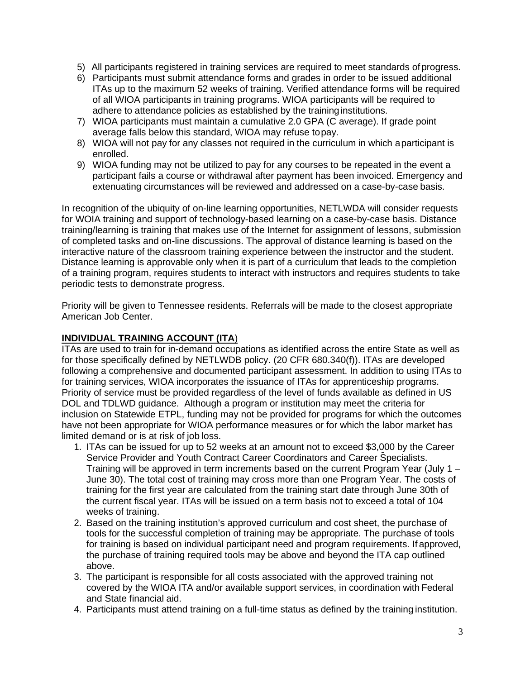- 5) All participants registered in training services are required to meet standards of progress.
- 6) Participants must submit attendance forms and grades in order to be issued additional ITAs up to the maximum 52 weeks of training. Verified attendance forms will be required of all WIOA participants in training programs. WIOA participants will be required to adhere to attendance policies as established by the training institutions.
- 7) WIOA participants must maintain a cumulative 2.0 GPA (C average). If grade point average falls below this standard, WIOA may refuse topay.
- 8) WIOA will not pay for any classes not required in the curriculum in which aparticipant is enrolled.
- 9) WIOA funding may not be utilized to pay for any courses to be repeated in the event a participant fails a course or withdrawal after payment has been invoiced. Emergency and extenuating circumstances will be reviewed and addressed on a case-by-case basis.

In recognition of the ubiquity of on-line learning opportunities, NETLWDA will consider requests for WOIA training and support of technology-based learning on a case-by-case basis. Distance training/learning is training that makes use of the Internet for assignment of lessons, submission of completed tasks and on-line discussions. The approval of distance learning is based on the interactive nature of the classroom training experience between the instructor and the student. Distance learning is approvable only when it is part of a curriculum that leads to the completion of a training program, requires students to interact with instructors and requires students to take periodic tests to demonstrate progress.

Priority will be given to Tennessee residents. Referrals will be made to the closest appropriate American Job Center.

#### **INDIVIDUAL TRAINING ACCOUNT (ITA**)

ITAs are used to train for in-demand occupations as identified across the entire State as well as for those specifically defined by NETLWDB policy. (20 CFR 680.340(f)). ITAs are developed following a comprehensive and documented participant assessment. In addition to using ITAs to for training services, WIOA incorporates the issuance of ITAs for apprenticeship programs. Priority of service must be provided regardless of the level of funds available as defined in US DOL and TDLWD guidance. Although a program or institution may meet the criteria for inclusion on Statewide ETPL, funding may not be provided for programs for which the outcomes have not been appropriate for WIOA performance measures or for which the labor market has limited demand or is at risk of job loss.

- 1. ITAs can be issued for up to 52 weeks at an amount not to exceed \$3,000 by the Career Service Provider and Youth Contract Career Coordinators and Career Specialists. Training will be approved in term increments based on the current Program Year (July 1 – June 30). The total cost of training may cross more than one Program Year. The costs of training for the first year are calculated from the training start date through June 30th of the current fiscal year. ITAs will be issued on a term basis not to exceed a total of 104 weeks of training.
- 2. Based on the training institution's approved curriculum and cost sheet, the purchase of tools for the successful completion of training may be appropriate. The purchase of tools for training is based on individual participant need and program requirements. If approved, the purchase of training required tools may be above and beyond the ITA cap outlined above.
- 3. The participant is responsible for all costs associated with the approved training not covered by the WIOA ITA and/or available support services, in coordination with Federal and State financial aid.
- 4. Participants must attend training on a full-time status as defined by the training institution.